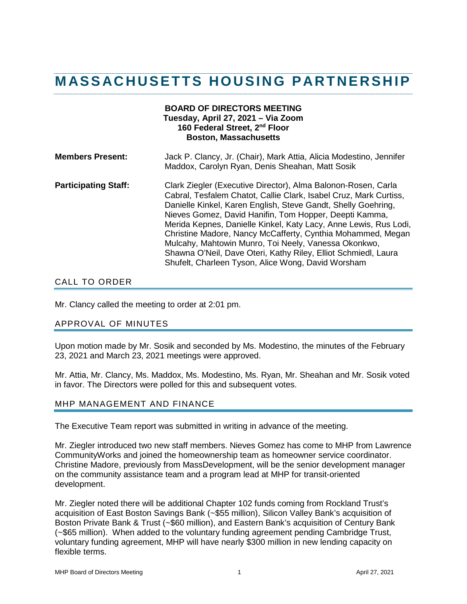# **MASSACHUSETTS HOUSING PARTNERSHIP**

## **BOARD OF DIRECTORS MEETING Tuesday, April 27, 2021 – Via Zoom 160 Federal Street, 2nd Floor Boston, Massachusetts Members Present:** Jack P. Clancy, Jr. (Chair), Mark Attia, Alicia Modestino, Jennifer Maddox, Carolyn Ryan, Denis Sheahan, Matt Sosik

## **Participating Staff:** Clark Ziegler (Executive Director), Alma Balonon-Rosen, Carla Cabral, Tesfalem Chatot, Callie Clark, Isabel Cruz, Mark Curtiss, Danielle Kinkel, Karen English, Steve Gandt, Shelly Goehring, Nieves Gomez, David Hanifin, Tom Hopper, Deepti Kamma, Merida Kepnes, Danielle Kinkel, Katy Lacy, Anne Lewis, Rus Lodi, Christine Madore, Nancy McCafferty, Cynthia Mohammed, Megan Mulcahy, Mahtowin Munro, Toi Neely, Vanessa Okonkwo, Shawna O'Neil, Dave Oteri, Kathy Riley, Elliot Schmiedl, Laura Shufelt, Charleen Tyson, Alice Wong, David Worsham

## CALL TO ORDER

Mr. Clancy called the meeting to order at 2:01 pm.

## APPROVAL OF MINUTES

Upon motion made by Mr. Sosik and seconded by Ms. Modestino, the minutes of the February 23, 2021 and March 23, 2021 meetings were approved.

Mr. Attia, Mr. Clancy, Ms. Maddox, Ms. Modestino, Ms. Ryan, Mr. Sheahan and Mr. Sosik voted in favor. The Directors were polled for this and subsequent votes.

#### MHP MANAGEMENT AND FINANCE

The Executive Team report was submitted in writing in advance of the meeting.

Mr. Ziegler introduced two new staff members. Nieves Gomez has come to MHP from Lawrence CommunityWorks and joined the homeownership team as homeowner service coordinator. Christine Madore, previously from MassDevelopment, will be the senior development manager on the community assistance team and a program lead at MHP for transit-oriented development.

Mr. Ziegler noted there will be additional Chapter 102 funds coming from Rockland Trust's acquisition of East Boston Savings Bank (~\$55 million), Silicon Valley Bank's acquisition of Boston Private Bank & Trust (~\$60 million), and Eastern Bank's acquisition of Century Bank (~\$65 million). When added to the voluntary funding agreement pending Cambridge Trust, voluntary funding agreement, MHP will have nearly \$300 million in new lending capacity on flexible terms.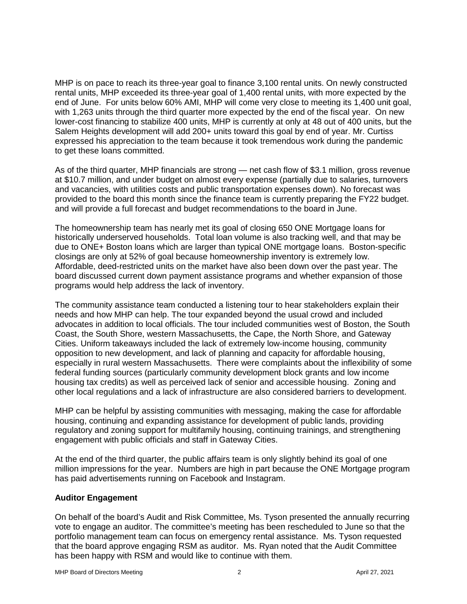MHP is on pace to reach its three-year goal to finance 3,100 rental units. On newly constructed rental units, MHP exceeded its three-year goal of 1,400 rental units, with more expected by the end of June. For units below 60% AMI, MHP will come very close to meeting its 1,400 unit goal, with 1,263 units through the third quarter more expected by the end of the fiscal year. On new lower-cost financing to stabilize 400 units, MHP is currently at only at 48 out of 400 units, but the Salem Heights development will add 200+ units toward this goal by end of year. Mr. Curtiss expressed his appreciation to the team because it took tremendous work during the pandemic to get these loans committed.

As of the third quarter, MHP financials are strong — net cash flow of \$3.1 million, gross revenue at \$10.7 million, and under budget on almost every expense (partially due to salaries, turnovers and vacancies, with utilities costs and public transportation expenses down). No forecast was provided to the board this month since the finance team is currently preparing the FY22 budget. and will provide a full forecast and budget recommendations to the board in June.

The homeownership team has nearly met its goal of closing 650 ONE Mortgage loans for historically underserved households. Total loan volume is also tracking well, and that may be due to ONE+ Boston loans which are larger than typical ONE mortgage loans. Boston-specific closings are only at 52% of goal because homeownership inventory is extremely low. Affordable, deed-restricted units on the market have also been down over the past year. The board discussed current down payment assistance programs and whether expansion of those programs would help address the lack of inventory.

The community assistance team conducted a listening tour to hear stakeholders explain their needs and how MHP can help. The tour expanded beyond the usual crowd and included advocates in addition to local officials. The tour included communities west of Boston, the South Coast, the South Shore, western Massachusetts, the Cape, the North Shore, and Gateway Cities. Uniform takeaways included the lack of extremely low-income housing, community opposition to new development, and lack of planning and capacity for affordable housing, especially in rural western Massachusetts. There were complaints about the inflexibility of some federal funding sources (particularly community development block grants and low income housing tax credits) as well as perceived lack of senior and accessible housing. Zoning and other local regulations and a lack of infrastructure are also considered barriers to development.

MHP can be helpful by assisting communities with messaging, making the case for affordable housing, continuing and expanding assistance for development of public lands, providing regulatory and zoning support for multifamily housing, continuing trainings, and strengthening engagement with public officials and staff in Gateway Cities.

At the end of the third quarter, the public affairs team is only slightly behind its goal of one million impressions for the year. Numbers are high in part because the ONE Mortgage program has paid advertisements running on Facebook and Instagram.

## **Auditor Engagement**

On behalf of the board's Audit and Risk Committee, Ms. Tyson presented the annually recurring vote to engage an auditor. The committee's meeting has been rescheduled to June so that the portfolio management team can focus on emergency rental assistance. Ms. Tyson requested that the board approve engaging RSM as auditor. Ms. Ryan noted that the Audit Committee has been happy with RSM and would like to continue with them.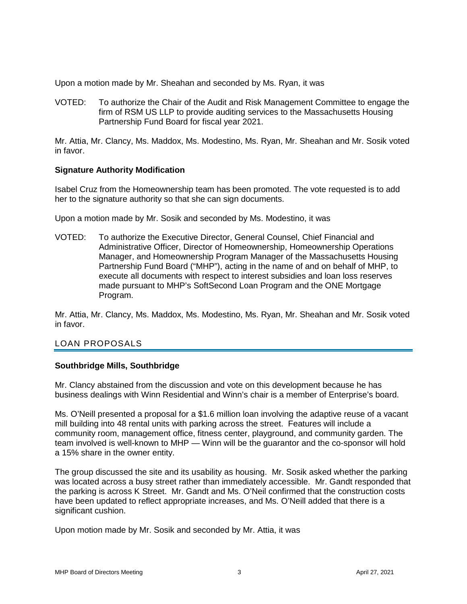Upon a motion made by Mr. Sheahan and seconded by Ms. Ryan, it was

VOTED: To authorize the Chair of the Audit and Risk Management Committee to engage the firm of RSM US LLP to provide auditing services to the Massachusetts Housing Partnership Fund Board for fiscal year 2021.

Mr. Attia, Mr. Clancy, Ms. Maddox, Ms. Modestino, Ms. Ryan, Mr. Sheahan and Mr. Sosik voted in favor.

#### **Signature Authority Modification**

Isabel Cruz from the Homeownership team has been promoted. The vote requested is to add her to the signature authority so that she can sign documents.

Upon a motion made by Mr. Sosik and seconded by Ms. Modestino, it was

VOTED: To authorize the Executive Director, General Counsel, Chief Financial and Administrative Officer, Director of Homeownership, Homeownership Operations Manager, and Homeownership Program Manager of the Massachusetts Housing Partnership Fund Board ("MHP"), acting in the name of and on behalf of MHP, to execute all documents with respect to interest subsidies and loan loss reserves made pursuant to MHP's SoftSecond Loan Program and the ONE Mortgage Program.

Mr. Attia, Mr. Clancy, Ms. Maddox, Ms. Modestino, Ms. Ryan, Mr. Sheahan and Mr. Sosik voted in favor.

## LOAN PROPOSALS

## **Southbridge Mills, Southbridge**

Mr. Clancy abstained from the discussion and vote on this development because he has business dealings with Winn Residential and Winn's chair is a member of Enterprise's board.

Ms. O'Neill presented a proposal for a \$1.6 million loan involving the adaptive reuse of a vacant mill building into 48 rental units with parking across the street. Features will include a community room, management office, fitness center, playground, and community garden. The team involved is well-known to MHP — Winn will be the guarantor and the co-sponsor will hold a 15% share in the owner entity.

The group discussed the site and its usability as housing. Mr. Sosik asked whether the parking was located across a busy street rather than immediately accessible. Mr. Gandt responded that the parking is across K Street. Mr. Gandt and Ms. O'Neil confirmed that the construction costs have been updated to reflect appropriate increases, and Ms. O'Neill added that there is a significant cushion.

Upon motion made by Mr. Sosik and seconded by Mr. Attia, it was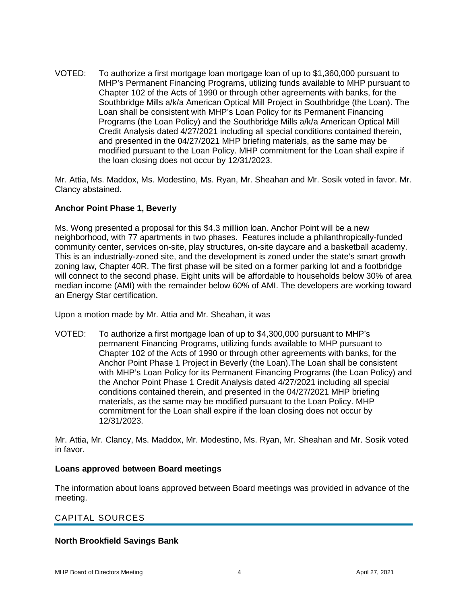VOTED: To authorize a first mortgage loan mortgage loan of up to \$1,360,000 pursuant to MHP's Permanent Financing Programs, utilizing funds available to MHP pursuant to Chapter 102 of the Acts of 1990 or through other agreements with banks, for the Southbridge Mills a/k/a American Optical Mill Project in Southbridge (the Loan). The Loan shall be consistent with MHP's Loan Policy for its Permanent Financing Programs (the Loan Policy) and the Southbridge Mills a/k/a American Optical Mill Credit Analysis dated 4/27/2021 including all special conditions contained therein, and presented in the 04/27/2021 MHP briefing materials, as the same may be modified pursuant to the Loan Policy. MHP commitment for the Loan shall expire if the loan closing does not occur by 12/31/2023.

Mr. Attia, Ms. Maddox, Ms. Modestino, Ms. Ryan, Mr. Sheahan and Mr. Sosik voted in favor. Mr. Clancy abstained.

#### **Anchor Point Phase 1, Beverly**

Ms. Wong presented a proposal for this \$4.3 milllion loan. Anchor Point will be a new neighborhood, with 77 apartments in two phases. Features include a philanthropically-funded community center, services on-site, play structures, on-site daycare and a basketball academy. This is an industrially-zoned site, and the development is zoned under the state's smart growth zoning law, Chapter 40R. The first phase will be sited on a former parking lot and a footbridge will connect to the second phase. Eight units will be affordable to households below 30% of area median income (AMI) with the remainder below 60% of AMI. The developers are working toward an Energy Star certification.

Upon a motion made by Mr. Attia and Mr. Sheahan, it was

VOTED: To authorize a first mortgage loan of up to \$4,300,000 pursuant to MHP's permanent Financing Programs, utilizing funds available to MHP pursuant to Chapter 102 of the Acts of 1990 or through other agreements with banks, for the Anchor Point Phase 1 Project in Beverly (the Loan).The Loan shall be consistent with MHP's Loan Policy for its Permanent Financing Programs (the Loan Policy) and the Anchor Point Phase 1 Credit Analysis dated 4/27/2021 including all special conditions contained therein, and presented in the 04/27/2021 MHP briefing materials, as the same may be modified pursuant to the Loan Policy. MHP commitment for the Loan shall expire if the loan closing does not occur by 12/31/2023.

Mr. Attia, Mr. Clancy, Ms. Maddox, Mr. Modestino, Ms. Ryan, Mr. Sheahan and Mr. Sosik voted in favor.

#### **Loans approved between Board meetings**

The information about loans approved between Board meetings was provided in advance of the meeting.

## CAPITAL SOURCES

#### **North Brookfield Savings Bank**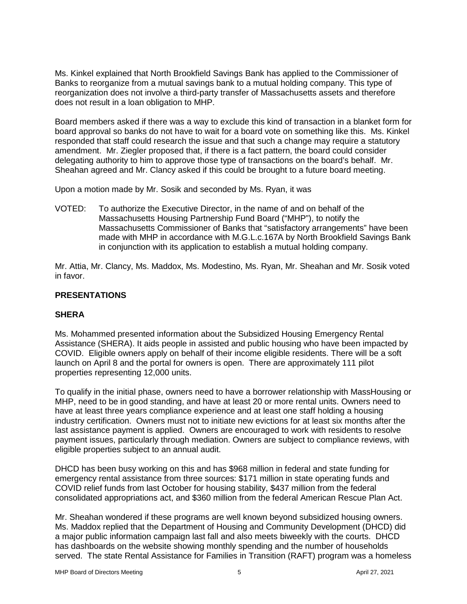Ms. Kinkel explained that North Brookfield Savings Bank has applied to the Commissioner of Banks to reorganize from a mutual savings bank to a mutual holding company. This type of reorganization does not involve a third-party transfer of Massachusetts assets and therefore does not result in a loan obligation to MHP.

Board members asked if there was a way to exclude this kind of transaction in a blanket form for board approval so banks do not have to wait for a board vote on something like this. Ms. Kinkel responded that staff could research the issue and that such a change may require a statutory amendment. Mr. Ziegler proposed that, if there is a fact pattern, the board could consider delegating authority to him to approve those type of transactions on the board's behalf. Mr. Sheahan agreed and Mr. Clancy asked if this could be brought to a future board meeting.

Upon a motion made by Mr. Sosik and seconded by Ms. Ryan, it was

VOTED: To authorize the Executive Director, in the name of and on behalf of the Massachusetts Housing Partnership Fund Board ("MHP"), to notify the Massachusetts Commissioner of Banks that "satisfactory arrangements" have been made with MHP in accordance with M.G.L.c.167A by North Brookfield Savings Bank in conjunction with its application to establish a mutual holding company.

Mr. Attia, Mr. Clancy, Ms. Maddox, Ms. Modestino, Ms. Ryan, Mr. Sheahan and Mr. Sosik voted in favor.

## **PRESENTATIONS**

## **SHERA**

Ms. Mohammed presented information about the Subsidized Housing Emergency Rental Assistance (SHERA). It aids people in assisted and public housing who have been impacted by COVID. Eligible owners apply on behalf of their income eligible residents. There will be a soft launch on April 8 and the portal for owners is open. There are approximately 111 pilot properties representing 12,000 units.

To qualify in the initial phase, owners need to have a borrower relationship with MassHousing or MHP, need to be in good standing, and have at least 20 or more rental units. Owners need to have at least three years compliance experience and at least one staff holding a housing industry certification. Owners must not to initiate new evictions for at least six months after the last assistance payment is applied. Owners are encouraged to work with residents to resolve payment issues, particularly through mediation. Owners are subject to compliance reviews, with eligible properties subject to an annual audit.

DHCD has been busy working on this and has \$968 million in federal and state funding for emergency rental assistance from three sources: \$171 million in state operating funds and COVID relief funds from last October for housing stability, \$437 million from the federal consolidated appropriations act, and \$360 million from the federal American Rescue Plan Act.

Mr. Sheahan wondered if these programs are well known beyond subsidized housing owners. Ms. Maddox replied that the Department of Housing and Community Development (DHCD) did a major public information campaign last fall and also meets biweekly with the courts. DHCD has dashboards on the website showing monthly spending and the number of households served. The state Rental Assistance for Families in Transition (RAFT) program was a homeless